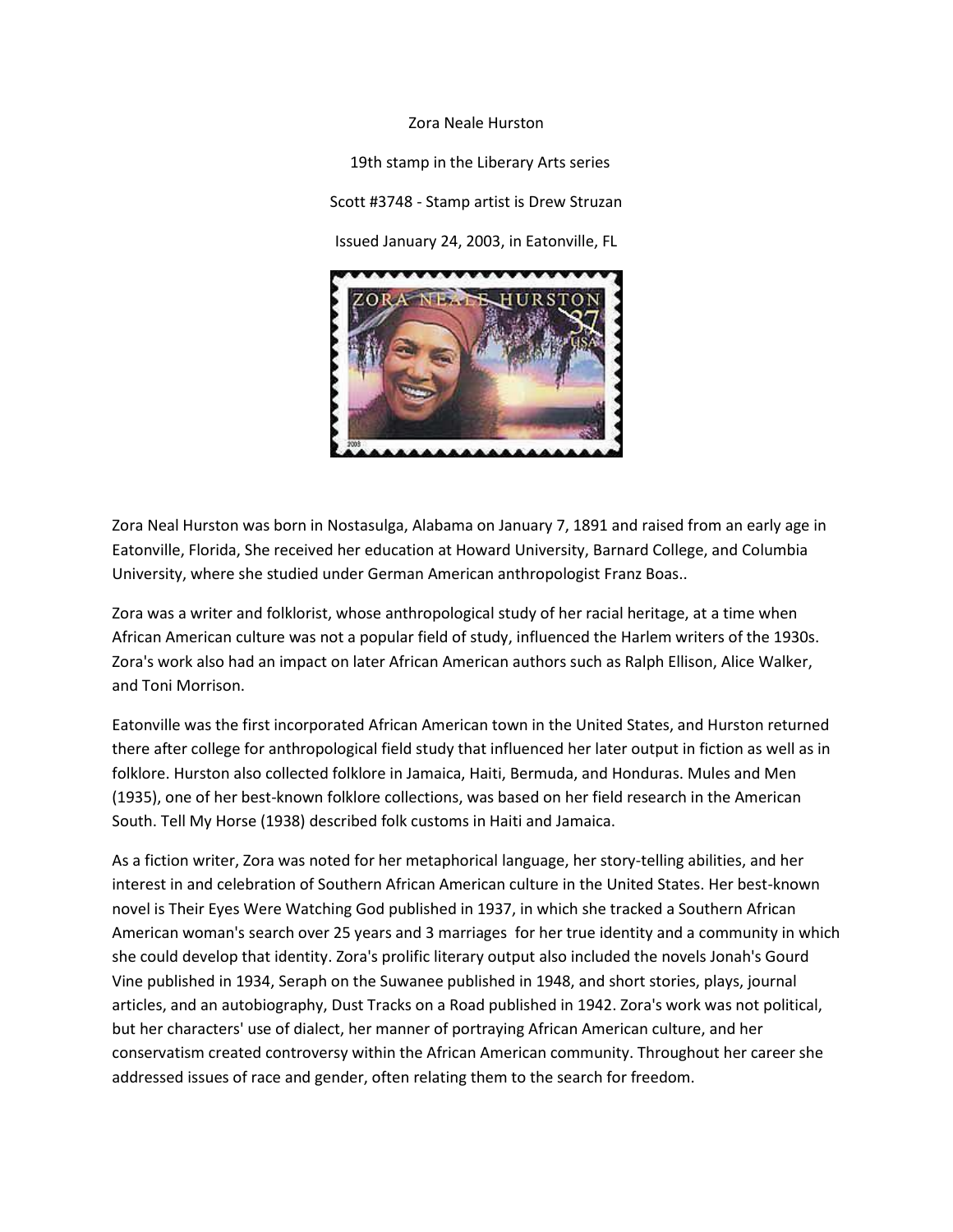## Zora Neale Hurston

19th stamp in the Liberary Arts series Scott #3748 - Stamp artist is Drew Struzan Issued January 24, 2003, in Eatonville, FL



Zora Neal Hurston was born in Nostasulga, Alabama on January 7, 1891 and raised from an early age in Eatonville, Florida, She received her education at Howard University, Barnard College, and Columbia University, where she studied under German American anthropologist Franz Boas..

Zora was a writer and folklorist, whose anthropological study of her racial heritage, at a time when African American culture was not a popular field of study, influenced the Harlem writers of the 1930s. Zora's work also had an impact on later African American authors such as Ralph Ellison, Alice Walker, and Toni Morrison.

Eatonville was the first incorporated African American town in the United States, and Hurston returned there after college for anthropological field study that influenced her later output in fiction as well as in folklore. Hurston also collected folklore in Jamaica, Haiti, Bermuda, and Honduras. Mules and Men (1935), one of her best-known folklore collections, was based on her field research in the American South. Tell My Horse (1938) described folk customs in Haiti and Jamaica.

As a fiction writer, Zora was noted for her metaphorical language, her story-telling abilities, and her interest in and celebration of Southern African American culture in the United States. Her best-known novel is Their Eyes Were Watching God published in 1937, in which she tracked a Southern African American woman's search over 25 years and 3 marriages for her true identity and a community in which she could develop that identity. Zora's prolific literary output also included the novels Jonah's Gourd Vine published in 1934, Seraph on the Suwanee published in 1948, and short stories, plays, journal articles, and an autobiography, Dust Tracks on a Road published in 1942. Zora's work was not political, but her characters' use of dialect, her manner of portraying African American culture, and her conservatism created controversy within the African American community. Throughout her career she addressed issues of race and gender, often relating them to the search for freedom.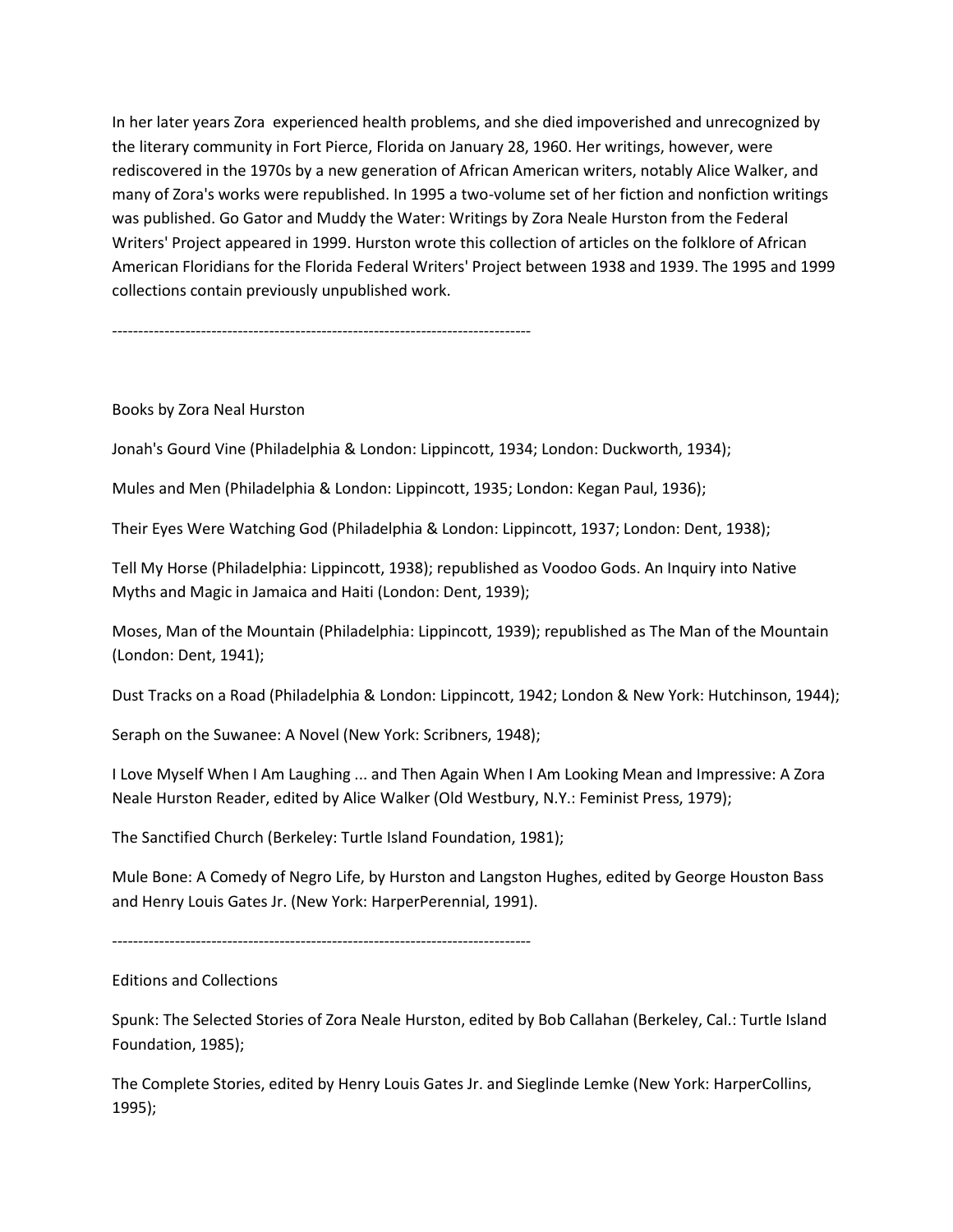In her later years Zora experienced health problems, and she died impoverished and unrecognized by the literary community in Fort Pierce, Florida on January 28, 1960. Her writings, however, were rediscovered in the 1970s by a new generation of African American writers, notably Alice Walker, and many of Zora's works were republished. In 1995 a two-volume set of her fiction and nonfiction writings was published. Go Gator and Muddy the Water: Writings by Zora Neale Hurston from the Federal Writers' Project appeared in 1999. Hurston wrote this collection of articles on the folklore of African American Floridians for the Florida Federal Writers' Project between 1938 and 1939. The 1995 and 1999 collections contain previously unpublished work.

--------------------------------------------------------------------------------

# Books by Zora Neal Hurston

Jonah's Gourd Vine (Philadelphia & London: Lippincott, 1934; London: Duckworth, 1934);

Mules and Men (Philadelphia & London: Lippincott, 1935; London: Kegan Paul, 1936);

Their Eyes Were Watching God (Philadelphia & London: Lippincott, 1937; London: Dent, 1938);

Tell My Horse (Philadelphia: Lippincott, 1938); republished as Voodoo Gods. An Inquiry into Native Myths and Magic in Jamaica and Haiti (London: Dent, 1939);

Moses, Man of the Mountain (Philadelphia: Lippincott, 1939); republished as The Man of the Mountain (London: Dent, 1941);

Dust Tracks on a Road (Philadelphia & London: Lippincott, 1942; London & New York: Hutchinson, 1944);

Seraph on the Suwanee: A Novel (New York: Scribners, 1948);

I Love Myself When I Am Laughing ... and Then Again When I Am Looking Mean and Impressive: A Zora Neale Hurston Reader, edited by Alice Walker (Old Westbury, N.Y.: Feminist Press, 1979);

The Sanctified Church (Berkeley: Turtle Island Foundation, 1981);

Mule Bone: A Comedy of Negro Life, by Hurston and Langston Hughes, edited by George Houston Bass and Henry Louis Gates Jr. (New York: HarperPerennial, 1991).

--------------------------------------------------------------------------------

# Editions and Collections

Spunk: The Selected Stories of Zora Neale Hurston, edited by Bob Callahan (Berkeley, Cal.: Turtle Island Foundation, 1985);

The Complete Stories, edited by Henry Louis Gates Jr. and Sieglinde Lemke (New York: HarperCollins, 1995);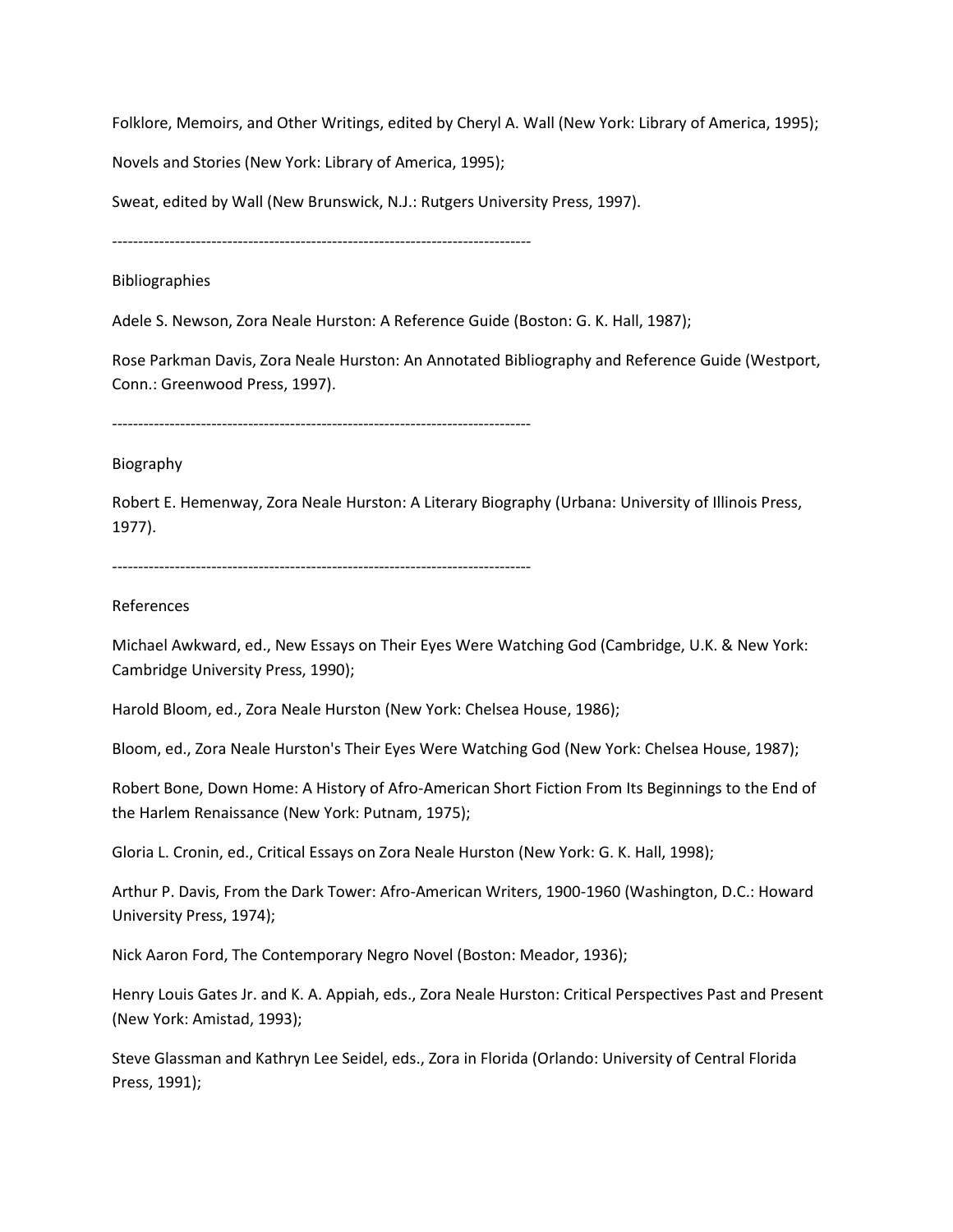Folklore, Memoirs, and Other Writings, edited by Cheryl A. Wall (New York: Library of America, 1995);

Novels and Stories (New York: Library of America, 1995);

Sweat, edited by Wall (New Brunswick, N.J.: Rutgers University Press, 1997).

--------------------------------------------------------------------------------

Bibliographies

Adele S. Newson, Zora Neale Hurston: A Reference Guide (Boston: G. K. Hall, 1987);

Rose Parkman Davis, Zora Neale Hurston: An Annotated Bibliography and Reference Guide (Westport, Conn.: Greenwood Press, 1997).

--------------------------------------------------------------------------------

## Biography

Robert E. Hemenway, Zora Neale Hurston: A Literary Biography (Urbana: University of Illinois Press, 1977).

--------------------------------------------------------------------------------

## References

Michael Awkward, ed., New Essays on Their Eyes Were Watching God (Cambridge, U.K. & New York: Cambridge University Press, 1990);

Harold Bloom, ed., Zora Neale Hurston (New York: Chelsea House, 1986);

Bloom, ed., Zora Neale Hurston's Their Eyes Were Watching God (New York: Chelsea House, 1987);

Robert Bone, Down Home: A History of Afro-American Short Fiction From Its Beginnings to the End of the Harlem Renaissance (New York: Putnam, 1975);

Gloria L. Cronin, ed., Critical Essays on Zora Neale Hurston (New York: G. K. Hall, 1998);

Arthur P. Davis, From the Dark Tower: Afro-American Writers, 1900-1960 (Washington, D.C.: Howard University Press, 1974);

Nick Aaron Ford, The Contemporary Negro Novel (Boston: Meador, 1936);

Henry Louis Gates Jr. and K. A. Appiah, eds., Zora Neale Hurston: Critical Perspectives Past and Present (New York: Amistad, 1993);

Steve Glassman and Kathryn Lee Seidel, eds., Zora in Florida (Orlando: University of Central Florida Press, 1991);